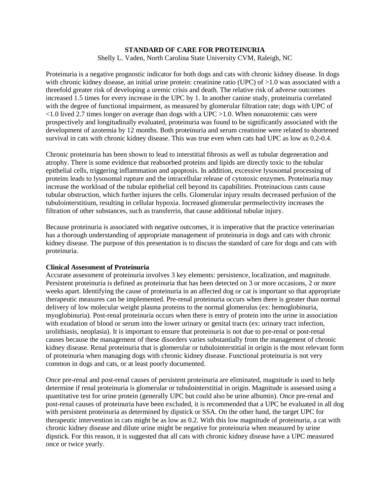# **STANDARD OF CARE FOR PROTEINURIA**

Shelly L. Vaden, North Carolina State University CVM, Raleigh, NC

Proteinuria is a negative prognostic indicator for both dogs and cats with chronic kidney disease. In dogs with chronic kidney disease, an initial urine protein: creatinine ratio (UPC) of  $>1.0$  was associated with a threefold greater risk of developing a uremic crisis and death. The relative risk of adverse outcomes increased 1.5 times for every increase in the UPC by 1. In another canine study, proteinuria correlated with the degree of functional impairment, as measured by glomerular filtration rate; dogs with UPC of <1.0 lived 2.7 times longer on average than dogs with a UPC >1.0. When nonazotemic cats were prospectively and longitudinally evaluated, proteinuria was found to be significantly associated with the development of azotemia by 12 months. Both proteinuria and serum creatinine were related to shortened survival in cats with chronic kidney disease. This was true even when cats had UPC as low as 0.2-0.4.

Chronic proteinuria has been shown to lead to interstitial fibrosis as well as tubular degeneration and atrophy. There is some evidence that reabsorbed proteins and lipids are directly toxic to the tubular epithelial cells, triggering inflammation and apoptosis. In addition, excessive lysosomal processing of proteins leads to lysosomal rupture and the intracellular release of cytotoxic enzymes. Proteinuria may increase the workload of the tubular epithelial cell beyond its capabilities. Proteinacious casts cause tubular obstruction, which further injures the cells. Glomerular injury results decreased perfusion of the tubulointerstitium, resulting in cellular hypoxia. Increased glomerular permselectivity increases the filtration of other substances, such as transferrin, that cause additional tubular injury.

Because proteinuria is associated with negative outcomes, it is imperative that the practice veterinarian has a thorough understanding of appropriate management of proteinuria in dogs and cats with chronic kidney disease. The purpose of this presentation is to discuss the standard of care for dogs and cats with proteinuria.

### **Clinical Assessment of Proteinuria**

Accurate assessment of proteinuria involves 3 key elements: persistence, localization, and magnitude. Persistent proteinuria is defined as proteinuria that has been detected on 3 or more occasions, 2 or more weeks apart. Identifying the cause of proteinuria in an affected dog or cat is important so that appropriate therapeutic measures can be implemented. Pre-renal proteinuria occurs when there is greater than normal delivery of low molecular weight plasma proteins to the normal glomerulus (ex: hemoglobinuria, myoglobinuria). Post-renal proteinuria occurs when there is entry of protein into the urine in association with exudation of blood or serum into the lower urinary or genital tracts (ex: urinary tract infection, urolithiasis, neoplasia). It is important to ensure that proteinuria is not due to pre-renal or post-renal causes because the management of these disorders varies substantially from the management of chronic kidney disease. Renal proteinuria that is glomerular or tubulointerstitial in origin is the most relevant form of proteinuria when managing dogs with chronic kidney disease. Functional proteinuria is not very common in dogs and cats, or at least poorly documented.

Once pre-renal and post-renal causes of persistent proteinuria are eliminated, magnitude is used to help determine if renal proteinuria is glomerular or tubulointerstitial in origin. Magnitude is assessed using a quantitative test for urine protein (generally UPC but could also be urine albumin). Once pre-renal and post-renal causes of proteinuria have been excluded, it is recommended that a UPC be evaluated in all dog with persistent proteinuria as determined by dipstick or SSA. On the other hand, the target UPC for therapeutic intervention in cats might be as low as 0.2. With this low magnitude of proteinuria, a cat with chronic kidney disease and dilute urine might be negative for proteinuria when measured by urine dipstick. For this reason, it is suggested that all cats with chronic kidney disease have a UPC measured once or twice yearly.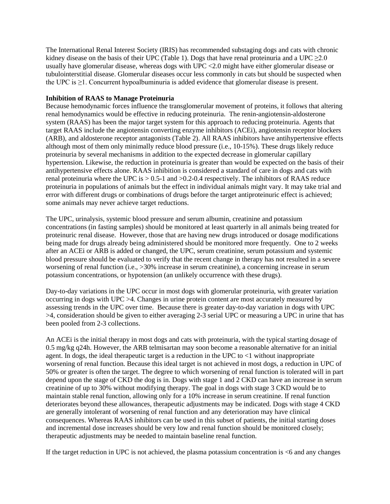The International Renal Interest Society (IRIS) has recommended substaging dogs and cats with chronic kidney disease on the basis of their UPC (Table 1). Dogs that have renal proteinuria and a UPC  $\geq$ 2.0 usually have glomerular disease, whereas dogs with UPC <2.0 might have either glomerular disease or tubulointerstitial disease. Glomerular diseases occur less commonly in cats but should be suspected when the UPC is ≥1. Concurrent hypoalbuminuria is added evidence that glomerular disease is present.

# **Inhibition of RAAS to Manage Proteinuria**

Because hemodynamic forces influence the transglomerular movement of proteins, it follows that altering renal hemodynamics would be effective in reducing proteinuria. The renin-angiotensin-aldosterone system (RAAS) has been the major target system for this approach to reducing proteinuria. Agents that target RAAS include the angiotensin converting enzyme inhibitors (ACEi), angiotensin receptor blockers (ARB), and aldosterone receptor antagonists (Table 2). All RAAS inhibitors have antihypertensive effects although most of them only minimally reduce blood pressure (i.e., 10-15%). These drugs likely reduce proteinuria by several mechanisms in addition to the expected decrease in glomerular capillary hypertension. Likewise, the reduction in proteinuria is greater than would be expected on the basis of their antihypertensive effects alone. RAAS inhibition is considered a standard of care in dogs and cats with renal proteinuria where the UPC is > 0.5-1 and >0.2-0.4 respectively. The inhibitors of RAAS reduce proteinuria in populations of animals but the effect in individual animals might vary. It may take trial and error with different drugs or combinations of drugs before the target antiproteinuric effect is achieved; some animals may never achieve target reductions.

The UPC, urinalysis, systemic blood pressure and serum albumin, creatinine and potassium concentrations (in fasting samples) should be monitored at least quarterly in all animals being treated for proteinuric renal disease. However, those that are having new drugs introduced or dosage modifications being made for drugs already being administered should be monitored more frequently. One to 2 weeks after an ACEi or ARB is added or changed, the UPC, serum creatinine, serum potassium and systemic blood pressure should be evaluated to verify that the recent change in therapy has not resulted in a severe worsening of renal function (i.e., >30% increase in serum creatinine), a concerning increase in serum potassium concentrations, or hypotension (an unlikely occurrence with these drugs).

Day-to-day variations in the UPC occur in most dogs with glomerular proteinuria, with greater variation occurring in dogs with UPC >4. Changes in urine protein content are most accurately measured by assessing trends in the UPC over time. Because there is greater day-to-day variation in dogs with UPC >4, consideration should be given to either averaging 2-3 serial UPC or measuring a UPC in urine that has been pooled from 2-3 collections.

An ACEi is the initial therapy in most dogs and cats with proteinuria, with the typical starting dosage of 0.5 mg/kg q24h. However, the ARB telmisartan may soon become a reasonable alternative for an initial agent. In dogs, the ideal therapeutic target is a reduction in the UPC to  $\leq 1$  without inappropriate worsening of renal function. Because this ideal target is not achieved in most dogs, a reduction in UPC of 50% or greater is often the target. The degree to which worsening of renal function is tolerated will in part depend upon the stage of CKD the dog is in. Dogs with stage 1 and 2 CKD can have an increase in serum creatinine of up to 30% without modifying therapy. The goal in dogs with stage 3 CKD would be to maintain stable renal function, allowing only for a 10% increase in serum creatinine. If renal function deteriorates beyond these allowances, therapeutic adjustments may be indicated. Dogs with stage 4 CKD are generally intolerant of worsening of renal function and any deterioration may have clinical consequences. Whereas RAAS inhibitors can be used in this subset of patients, the initial starting doses and incremental dose increases should be very low and renal function should be monitored closely; therapeutic adjustments may be needed to maintain baseline renal function.

If the target reduction in UPC is not achieved, the plasma potassium concentration is <6 and any changes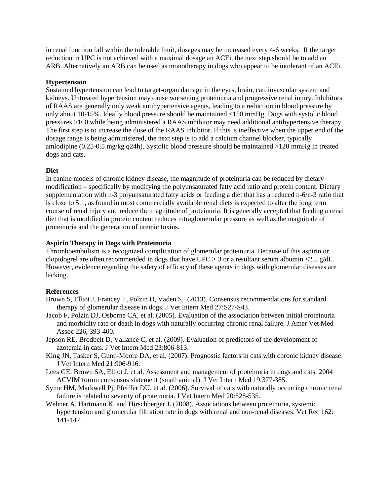in renal function fall within the tolerable limit, dosages may be increased every 4-6 weeks. If the target reduction in UPC is not achieved with a maximal dosage an ACEi, the next step should be to add an ARB. Alternatively an ARB can be used as monotherapy in dogs who appear to be intolerant of an ACEi.

## **Hypertension**

Sustained hypertension can lead to target-organ damage in the eyes, brain, cardiovascular system and kidneys. Untreated hypertension may cause worsening proteinuria and progressive renal injury. Inhibitors of RAAS are generally only weak antihypertensive agents, leading to a reduction in blood pressure by only about 10-15%. Ideally blood pressure should be maintained <150 mmHg. Dogs with systolic blood pressures >160 while being administered a RAAS inhibitor may need additional antihypertensive therapy. The first step is to increase the dose of the RAAS inhibitor. If this is ineffective when the upper end of the dosage range is being administered, the next step is to add a calcium channel blocker, typically amlodipine (0.25-0.5 mg/kg q24h). Systolic blood pressure should be maintained >120 mmHg in treated dogs and cats.

## **Diet**

In canine models of chronic kidney disease, the magnitude of proteinuria can be reduced by dietary modification – specifically by modifying the polyunsaturated fatty acid ratio and protein content. Dietary supplementation with n-3 polyunsaturated fatty acids or feeding a diet that has a reduced n-6/n-3 ratio that is close to 5:1, as found in most commercially available renal diets is expected to alter the long term course of renal injury and reduce the magnitude of proteinuria. It is generally accepted that feeding a renal diet that is modified in protein content reduces intraglomerular pressure as well as the magnitude of proteinuria and the generation of uremic toxins.

## **Aspirin Therapy in Dogs with Proteinuria**

Thromboembolism is a recognized complication of glomerular proteinuria. Because of this aspirin or clopidogrel are often recommended in dogs that have  $UPC > 3$  or a resultant serum albumin <2.5 g/dL. However, evidence regarding the safety of efficacy of these agents in dogs with glomerular diseases are lacking.

### **References**

- Brown S, Elliot J, Francey T, Polzin D, Vaden S. (2013). Consensus recommendations for standard therapy of glomerular disease in dogs. J Vet Intern Med 27:S27-S43.
- Jacob F, Polzin DJ, Osborne CA, et al. (2005). Evaluation of the association between initial proteinuria and morbidity rate or death in dogs with naturally occurring chronic renal failure. J Amer Vet Med Assoc 226, 393-400.
- Jepson RE. Brodbelt D, Vallance C, et al. (2009). Evaluation of predictors of the development of azotemia in cats. J Vet Intern Med 23:806-813.
- King JN, Tasker S, Gunn-Moore DA, et al. (2007). Prognostic factors in cats with chronic kidney disease. J Vet Intern Med 21:906-916.
- Lees GE, Brown SA, Elliot J, et al. Assessment and management of proteinuria in dogs and cats: 2004 ACVIM forum consensus statement (small animal). J Vet Intern Med 19:377-385.
- Syme HM, Markwell Pj, Pfeiffer DU, et al. (2006). Survival of cats with naturally occurring chronic renal failure is related to severity of proteinuria. J Vet Intern Med 20:528-535.
- Wehner A, Hartmann K, and Hirschberger J. (2008). Associations between proteinuria, systemic hypertension and glomerular filtration rate in dogs with renal and non-renal diseases. Vet Rec 162: 141-147.